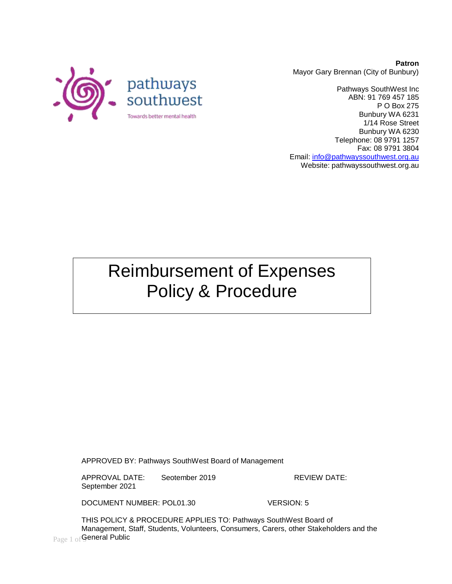

**Patron** Mayor Gary Brennan (City of Bunbury)

Pathways SouthWest Inc ABN: 91 769 457 185 P O Box 275 Bunbury WA 6231 1/14 Rose Street Bunbury WA 6230 Telephone: 08 9791 1257 Fax: 08 9791 3804 Email: [info@pathwayssouthwest.org.au](mailto:info@pathwayssouthwest.org.au) Website: pathwayssouthwest.org.au

Reimbursement of Expenses Policy & Procedure

APPROVED BY: Pathways SouthWest Board of Management

APPROVAL DATE: Seotember 2019 REVIEW DATE: September 2021

DOCUMENT NUMBER: POL01.30 VERSION: 5

 $_{\rm Page\ 1\ of}$ General Public THIS POLICY & PROCEDURE APPLIES TO: Pathways SouthWest Board of Management, Staff, Students, Volunteers, Consumers, Carers, other Stakeholders and the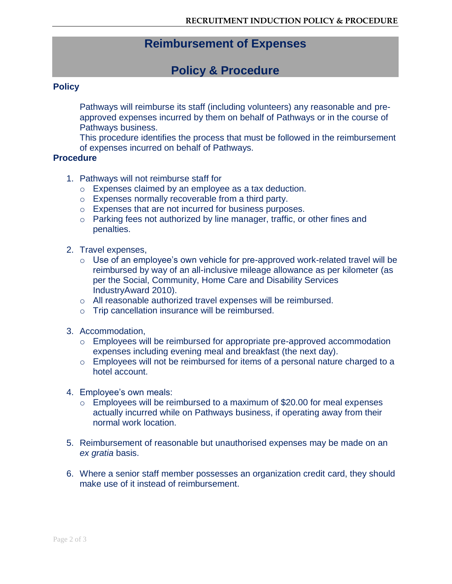## **Reimbursement of Expenses**

# **Policy & Procedure**

#### **Policy**

Pathways will reimburse its staff (including volunteers) any reasonable and preapproved expenses incurred by them on behalf of Pathways or in the course of Pathways business.

This procedure identifies the process that must be followed in the reimbursement of expenses incurred on behalf of Pathways.

#### **Procedure**

- 1. Pathways will not reimburse staff for
	- o Expenses claimed by an employee as a tax deduction.
	- o Expenses normally recoverable from a third party.
	- o Expenses that are not incurred for business purposes.
	- o Parking fees not authorized by line manager, traffic, or other fines and penalties.
- 2. Travel expenses,
	- $\circ$  Use of an employee's own vehicle for pre-approved work-related travel will be reimbursed by way of an all-inclusive mileage allowance as per kilometer (as per the Social, Community, Home Care and Disability Services IndustryAward 2010).
	- o All reasonable authorized travel expenses will be reimbursed.
	- o Trip cancellation insurance will be reimbursed.
- 3. Accommodation,
	- o Employees will be reimbursed for appropriate pre-approved accommodation expenses including evening meal and breakfast (the next day).
	- o Employees will not be reimbursed for items of a personal nature charged to a hotel account.
- 4. Employee's own meals:
	- o Employees will be reimbursed to a maximum of \$20.00 for meal expenses actually incurred while on Pathways business, if operating away from their normal work location.
- 5. Reimbursement of reasonable but unauthorised expenses may be made on an *ex gratia* basis.
- 6. Where a senior staff member possesses an organization credit card, they should make use of it instead of reimbursement.